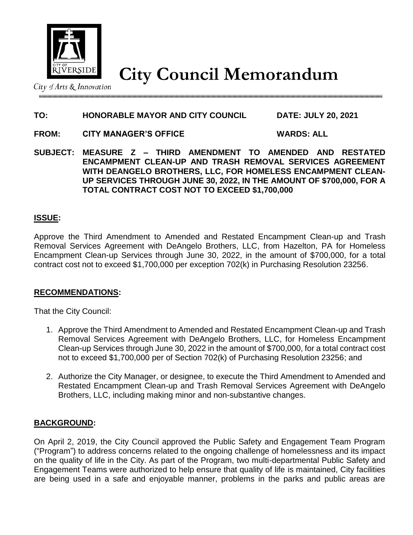

# **City Council Memorandum**

City of Arts  $\&$  Innovation

## **TO: HONORABLE MAYOR AND CITY COUNCIL DATE: JULY 20, 2021**

**FROM: CITY MANAGER'S OFFICE WARDS: ALL** 

**SUBJECT: MEASURE Z – THIRD AMENDMENT TO AMENDED AND RESTATED ENCAMPMENT CLEAN-UP AND TRASH REMOVAL SERVICES AGREEMENT WITH DEANGELO BROTHERS, LLC, FOR HOMELESS ENCAMPMENT CLEAN-UP SERVICES THROUGH JUNE 30, 2022, IN THE AMOUNT OF \$700,000, FOR A TOTAL CONTRACT COST NOT TO EXCEED \$1,700,000**

## **ISSUE:**

Approve the Third Amendment to Amended and Restated Encampment Clean-up and Trash Removal Services Agreement with DeAngelo Brothers, LLC, from Hazelton, PA for Homeless Encampment Clean-up Services through June 30, 2022, in the amount of \$700,000, for a total contract cost not to exceed \$1,700,000 per exception 702(k) in Purchasing Resolution 23256.

## **RECOMMENDATIONS:**

That the City Council:

- 1. Approve the Third Amendment to Amended and Restated Encampment Clean-up and Trash Removal Services Agreement with DeAngelo Brothers, LLC, for Homeless Encampment Clean-up Services through June 30, 2022 in the amount of \$700,000, for a total contract cost not to exceed \$1,700,000 per of Section 702(k) of Purchasing Resolution 23256; and
- 2. Authorize the City Manager, or designee, to execute the Third Amendment to Amended and Restated Encampment Clean-up and Trash Removal Services Agreement with DeAngelo Brothers, LLC, including making minor and non-substantive changes.

### **BACKGROUND:**

On April 2, 2019, the City Council approved the Public Safety and Engagement Team Program ("Program") to address concerns related to the ongoing challenge of homelessness and its impact on the quality of life in the City. As part of the Program, two multi-departmental Public Safety and Engagement Teams were authorized to help ensure that quality of life is maintained, City facilities are being used in a safe and enjoyable manner, problems in the parks and public areas are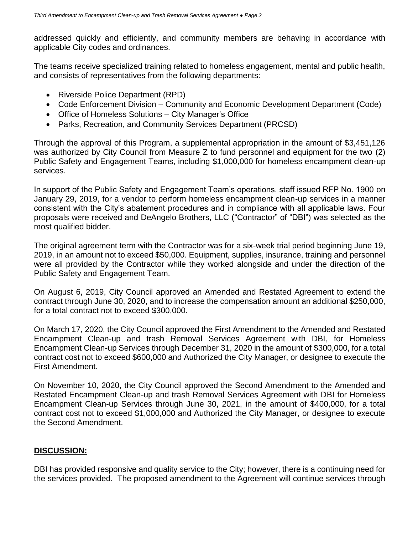addressed quickly and efficiently, and community members are behaving in accordance with applicable City codes and ordinances.

The teams receive specialized training related to homeless engagement, mental and public health, and consists of representatives from the following departments:

- Riverside Police Department (RPD)
- Code Enforcement Division Community and Economic Development Department (Code)
- Office of Homeless Solutions City Manager's Office
- Parks, Recreation, and Community Services Department (PRCSD)

Through the approval of this Program, a supplemental appropriation in the amount of \$3,451,126 was authorized by City Council from Measure Z to fund personnel and equipment for the two (2) Public Safety and Engagement Teams, including \$1,000,000 for homeless encampment clean-up services.

In support of the Public Safety and Engagement Team's operations, staff issued RFP No. 1900 on January 29, 2019, for a vendor to perform homeless encampment clean-up services in a manner consistent with the City's abatement procedures and in compliance with all applicable laws. Four proposals were received and DeAngelo Brothers, LLC ("Contractor" of "DBI") was selected as the most qualified bidder.

The original agreement term with the Contractor was for a six-week trial period beginning June 19, 2019, in an amount not to exceed \$50,000. Equipment, supplies, insurance, training and personnel were all provided by the Contractor while they worked alongside and under the direction of the Public Safety and Engagement Team.

On August 6, 2019, City Council approved an Amended and Restated Agreement to extend the contract through June 30, 2020, and to increase the compensation amount an additional \$250,000, for a total contract not to exceed \$300,000.

On March 17, 2020, the City Council approved the First Amendment to the Amended and Restated Encampment Clean-up and trash Removal Services Agreement with DBI, for Homeless Encampment Clean-up Services through December 31, 2020 in the amount of \$300,000, for a total contract cost not to exceed \$600,000 and Authorized the City Manager, or designee to execute the First Amendment.

On November 10, 2020, the City Council approved the Second Amendment to the Amended and Restated Encampment Clean-up and trash Removal Services Agreement with DBI for Homeless Encampment Clean-up Services through June 30, 2021, in the amount of \$400,000, for a total contract cost not to exceed \$1,000,000 and Authorized the City Manager, or designee to execute the Second Amendment.

### **DISCUSSION:**

DBI has provided responsive and quality service to the City; however, there is a continuing need for the services provided. The proposed amendment to the Agreement will continue services through